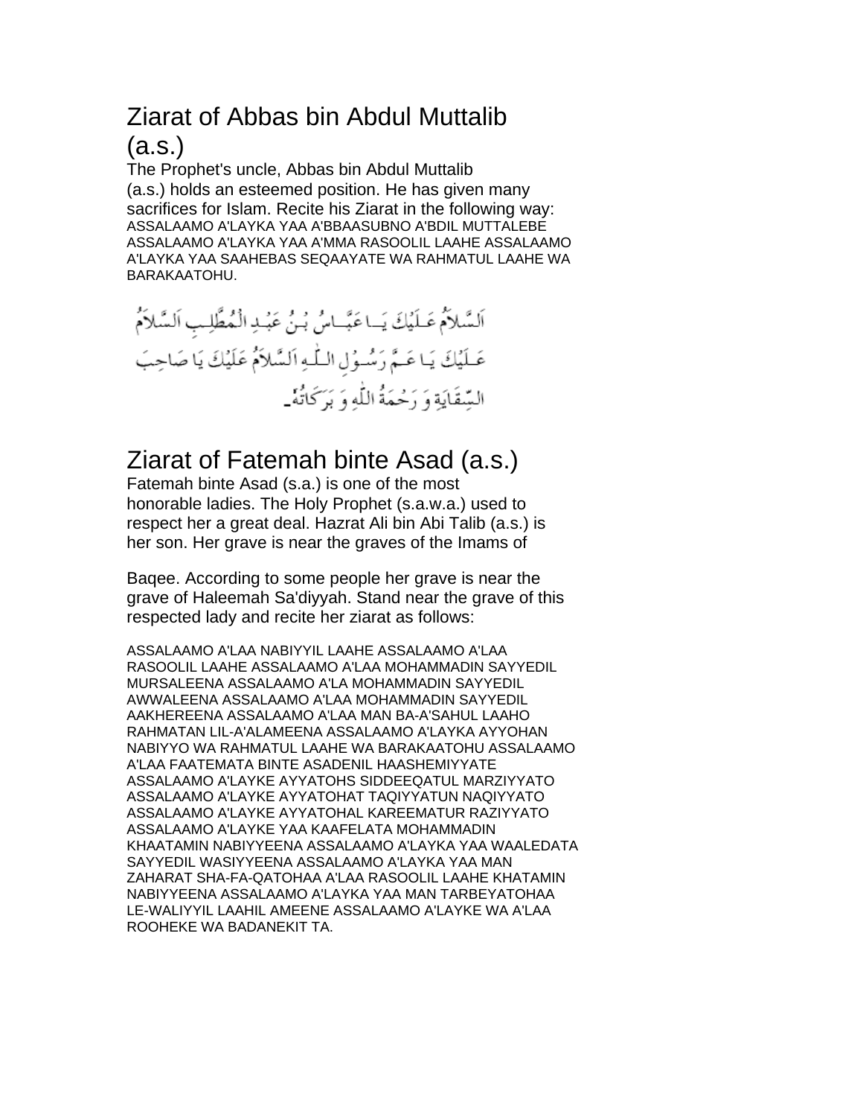# Ziarat of Abbas bin Abdul Muttalib

(a.s.)

The Prophet's uncle, Abbas bin Abdul Muttalib (a.s.) holds an esteemed position. He has given many sacrifices for Islam. Recite his Ziarat in the following way: ASSALAAMO A'LAYKA YAA A'BBAASUBNO A'BDIL MUTTALEBE ASSALAAMO A'LAYKA YAA A'MMA RASOOLIL LAAHE ASSALAAMO A'LAYKA YAA SAAHEBAS SEQAAYATE WA RAHMATUL LAAHE WA BARAKAATOHU.

اَلسَّلاَمُ عَلَيْكَ يَـاعَبَّـاسُ بُـنُ عَبُـدِ الْمُطَّلِـبِ اَلسَّلاَمُ عَـلَيْكَ يَـاعَـمَّ رَسُـوُلِ الـلّٰـهِ اَلسَّلاَمُ عَلَيْكَ يَا صَاحِبَ السَّقَايَةِ وَ رَحْمَةُ اللَّهِ وَ بَرَكَانَهُ \_

### Ziarat of Fatemah binte Asad (a.s.)

Fatemah binte Asad (s.a.) is one of the most honorable ladies. The Holy Prophet (s.a.w.a.) used to respect her a great deal. Hazrat Ali bin Abi Talib (a.s.) is her son. Her grave is near the graves of the Imams of

Baqee. According to some people her grave is near the grave of Haleemah Sa'diyyah. Stand near the grave of this respected lady and recite her ziarat as follows:

ASSALAAMO A'LAA NABIYYIL LAAHE ASSALAAMO A'LAA RASOOLIL LAAHE ASSALAAMO A'LAA MOHAMMADIN SAYYEDIL MURSALEENA ASSALAAMO A'LA MOHAMMADIN SAYYEDIL AWWALEENA ASSALAAMO A'LAA MOHAMMADIN SAYYEDIL AAKHEREENA ASSALAAMO A'LAA MAN BA-A'SAHUL LAAHO RAHMATAN LIL-A'ALAMEENA ASSALAAMO A'LAYKA AYYOHAN NABIYYO WA RAHMATUL LAAHE WA BARAKAATOHU ASSALAAMO A'LAA FAATEMATA BINTE ASADENIL HAASHEMIYYATE ASSALAAMO A'LAYKE AYYATOHS SIDDEEQATUL MARZIYYATO ASSALAAMO A'LAYKE AYYATOHAT TAQIYYATUN NAQIYYATO ASSALAAMO A'LAYKE AYYATOHAL KAREEMATUR RAZIYYATO ASSALAAMO A'LAYKE YAA KAAFELATA MOHAMMADIN KHAATAMIN NABIYYEENA ASSALAAMO A'LAYKA YAA WAALEDATA SAYYEDIL WASIYYEENA ASSALAAMO A'LAYKA YAA MAN ZAHARAT SHA-FA-QATOHAA A'LAA RASOOLIL LAAHE KHATAMIN NABIYYEENA ASSALAAMO A'LAYKA YAA MAN TARBEYATOHAA LE-WALIYYIL LAAHIL AMEENE ASSALAAMO A'LAYKE WA A'LAA ROOHEKE WA BADANEKIT TA.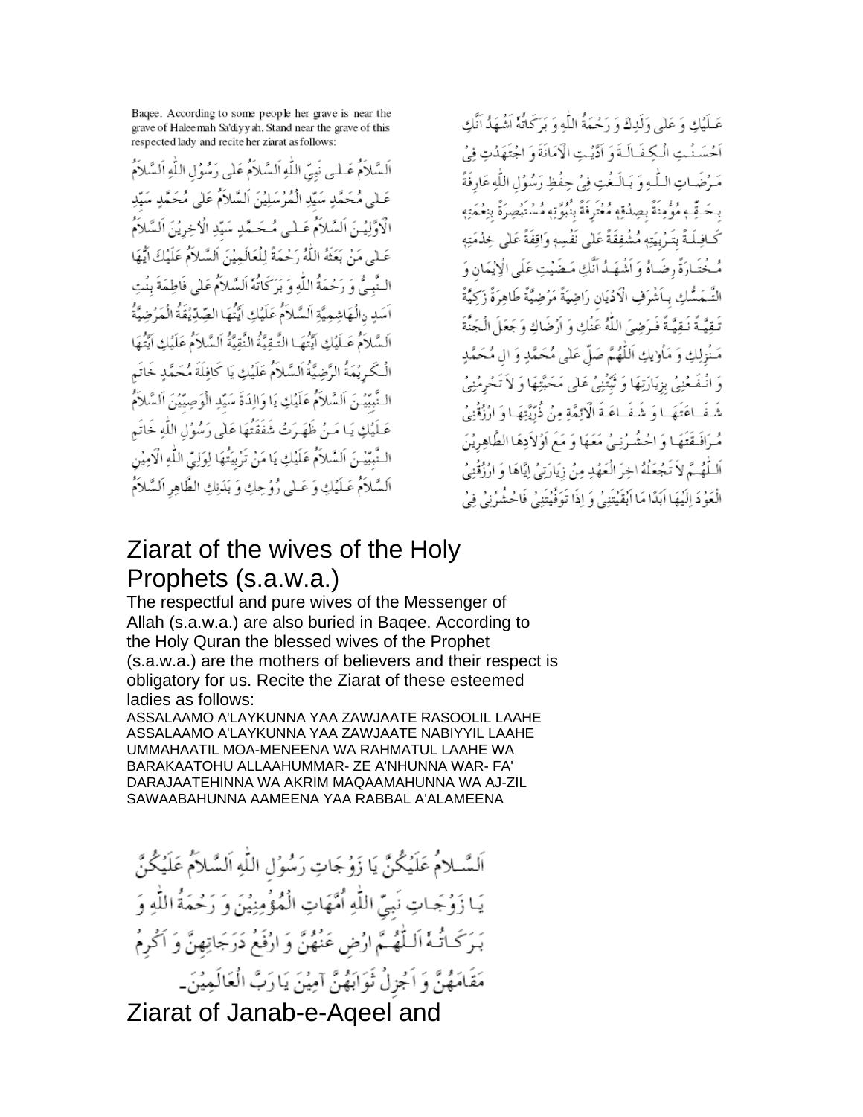Baqee. According to some people her grave is near the grave of Haleemah Sa'diyyah. Stand near the grave of this respected lady and recite her ziarat as follows:

الَسَّلاَمُ عَـلـِي نَبِيِّ اللَّهِ اَلسَّلاَمُ عَلَى رَسُوُلِ اللَّهِ اَلسَّلاَمُ عَـلْمِي مُحَمَّدٍ سَيِّدِ الْمُرْسَلِيْنَ اَلسَّلاَمُ عَلَى مُحَمَّدٍ سَيِّدِ الْاَوَّلِيْنَ اَلسَّلاَمُ عَـلـى مُـحَـمَّدٍ سَيِّدِ الْاخِرِيْنَ اَلسَّلاَمُ عَـٰلَى مَنْ بَعَثَهُ اللَّهُ رَحْمَةً لِلْعَالَمِيْنَ اَلسَّلاَمُ عَلَيْكَ ايُّهَا النَّبِيُّ وَ رَحْمَةُ اللَّهِ وَ بَرَكَاتُهُ اَلسَّلاَمُ عَلَى فَاطِمَةَ بِنْتِ اَسَدِ رَالُهَاشِمِيَّةِ اَلسَّلاَمُ عَلَيْكِ ايَّتُهَا الصِّدِّيْقَةُ الْمَرْضِيَّةُ السَّلاَمُ عَـلَيْكِ ايَّتُهَـا التَّـقِيَّةُ النَّقِيَّةُ السَّلاَمُ عَلَيْكِ ايَّتُهَا الْكَبِ يُمَةُ الرَّضِيَّةُ اَلسَّلاَمُ عَلَيْكِ يَا كَافِلَةَ مُحَمَّدٍ خَاتَمٍ النَّبِيِّيمْنَ اَلسَّلاَمُ عَلَيْكِ يَا وَالِدَةَ سَيِّدِ الْوَصِيِّيْنَ اَلسَّلاَمُ عَـلَيۡكِ يَـا مَـنۡ ظَهَـرَتۡ شَفَقَتُهَا عَلَى رَسُوۡلِ اللَّهِ خَاتَم النَّبِيِّيمْنَ اَلسَّلاَمُ عَلَيْكِ يَا مَنْ تَرْبِيَّهَا لِوَلِيِّ اللَّهِ الْآمِيْنِ السَّلاَمُ عَـلَيْكِ وَ عَـلى رُوُحِكِ وَ بَدَنِكِ الطَّاهِرِ السَّلاَمُ عَـلَيْكِ وَ عَلَى وَلَدِكَ وَ رَحْمَةُ اللَّهِ وَ بَرَكَاتُهُ اَشْهَدُ اَنَّكِ أَخْسَنُتِ الْكِفَالَةَ وَ أَدَّيْتِ الْإِمَانَةَ وَ اجْتَهَدُتِ فِيُ مَيرُضَياتِ السُّهُ وَ يَبَالَـغُتِ فِيُ حِفْظِ دَمِيْوُلِ اللَّهِ عَادِ فَةً بِحَبِّيهِ مُؤْمِنَةً بِصِدُقَهِ مُعْبَرِ فَةً بِنَبِهِ نَهِ مُسْتَبِصِرَةً بِنِعْمَتِهِ كَـافِـلَـةً بِتَـرْبِيَتِهِ مُشْفِقَةً عَلَى نَفْسِهِ وَاقِفَةً عَلَى خِدْمَتِهِ مُّـخْتَـادَةً رضَـاهُ وَ أَشْهَـدُ أَنَّكِ مَـضَيْتِ عَلَى الْإِيْمَانِ وَ التَّـمَسُّكِ بِـأَشْرَفِ الْأَدْيَانِ رَاضِيَةً مَرْضِيَّةً طَاهِرَةً زَكِيَّةً تَـقِيَّـةً نَـقِيَّـةً فَـرَضِيَ اللَّهُ عَنْكِ وَ اَرْضَاكِ وَجَعَلَ الْجَنَّةَ مَنْزِلِكِ وَ مَأْوِيكِ اللَّهُمَّ صَلَّ عَلى مُحَمَّدٍ وَ ال مُحَمَّدٍ وَ انْـفَـعُنِيُّ بِزِيَارَتِهَا وَ تَبَنَّنِيُّ عَلَى مَحَبَّتِهَا وَ لاَ تَحْرِمُنِيُّ شَفَـاعَتَهَـا وَ شَفَـاعَـةَ الْأَنِيَّةِ مِنْ ذُرِّيَّتِهَـا وَ ارْزُقْنِيُ مُرَافَقَتَهَا وَ احْشُرْنِيْ مَعَهَا وَ مَعَ أَوُلاَدِهَا الطَّاهِرِيْنَ اَلْتَلَهُـمَّ لاَ تَجْعَلُهُ اخِرَ الْعَهْدِ مِنْ زِيَارَتِيُ إِيَّاهَا وَ ارْزُقْنِيُ الْعَوُّ دَ اِلَيُهَا اَبَدًا مَا اَبُقَيْتَنِيُّ وَ إِذَا تَوَفَّيْتَنِيُّ فَاحْشُرُنِيُّ فِيُّ

#### Ziarat of the wives of the Holy Prophets (s.a.w.a.)

The respectful and pure wives of the Messenger of Allah (s.a.w.a.) are also buried in Bagee. According to the Holy Quran the blessed wives of the Prophet (s.a.w.a.) are the mothers of believers and their respect is obligatory for us. Recite the Ziarat of these esteemed ladies as follows:

ASSALAAMO A'LAYKUNNA YAA ZAWJAATE RASOOLIL LAAHE ASSALAAMO A'LAYKUNNA YAA ZAWJAATE NABIYYIL LAAHE UMMAHAATIL MOA-MENEENA WA RAHMATUL LAAHE WA BARAKAATOHU ALLAAHUMMAR-ZE A'NHUNNA WAR-FA' DARAJAATEHINNA WA AKRIM MAQAAMAHUNNA WA AJ-ZIL SAWAABAHUNNA AAMEENA YAA RABBAL A'ALAMEENA

اَلسَّــلامُ عَلَيْكُنَّ يَا زَوُجَاتِ رَسُوُلِ اللَّهِ اَلسَّـلاَمُ عَلَيْكُنَّ يَـا زَوُجَـاتٍ نَبِيِّ اللَّهِ أُمَّهَاتٍ الْمُؤْمِنِيْنَ وَ رَحْمَةُ اللَّهِ وَ بَرَكَاتُهُ اللَّهُمَّ ارْضِ عَنْهُنَّ وَ ارْفَعْ دَرَجَاتِهِنَّ وَ اَكْرِمُ مَقَامَهُنَّ وَ اَجْزِلْ ثَوَابَهُنَّ آمِيْنَ يَا رَبَّ الْعَالَمِيْنَ\_

Ziarat of Janab-e-Aqeel and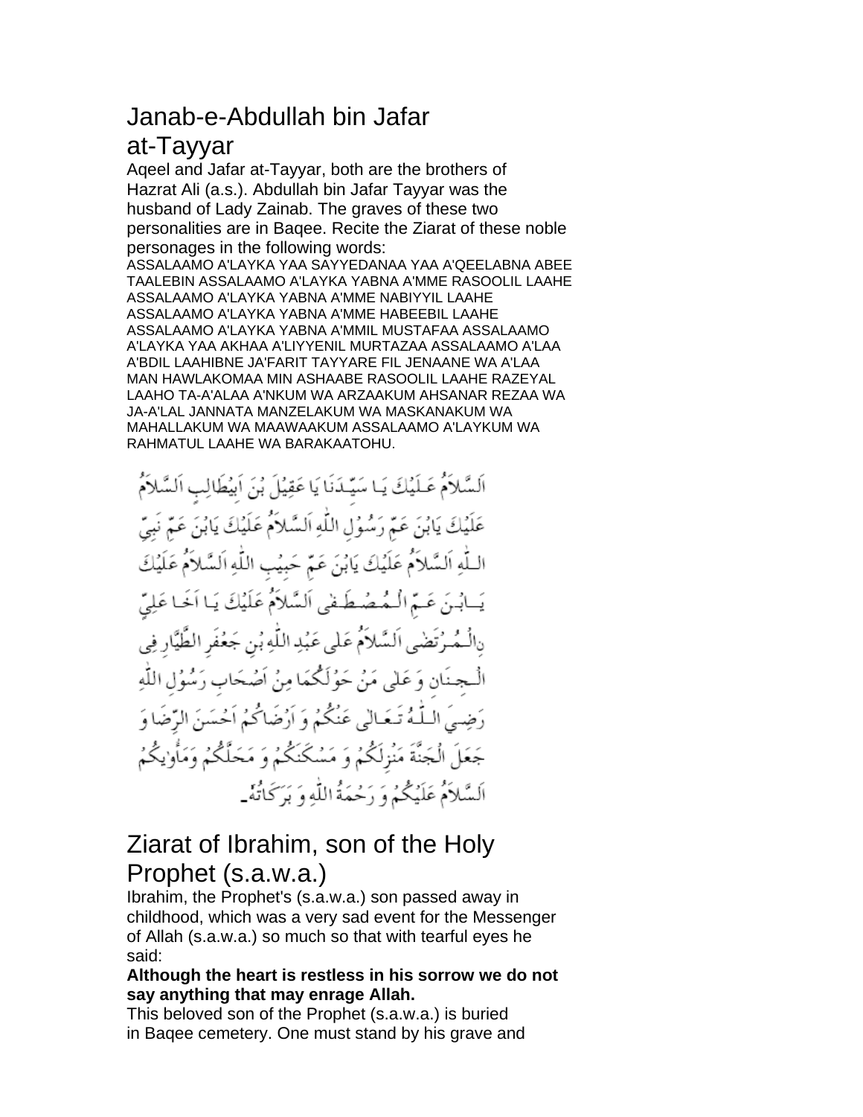# Janab-e-Abdullah bin Jafar

### at-Tayyar

Aqeel and Jafar at-Tayyar, both are the brothers of Hazrat Ali (a.s.). Abdullah bin Jafar Tayyar was the husband of Lady Zainab. The graves of these two personalities are in Baqee. Recite the Ziarat of these noble personages in the following words:

ASSALAAMO A'LAYKA YAA SAYYEDANAA YAA A'QEELABNA ABEE TAALEBIN ASSALAAMO A'LAYKA YABNA A'MME RASOOLIL LAAHE ASSALAAMO A'LAYKA YABNA A'MME NABIYYIL LAAHE ASSALAAMO A'LAYKA YABNA A'MME HABEEBIL LAAHE ASSALAAMO A'LAYKA YABNA A'MMIL MUSTAFAA ASSALAAMO A'LAYKA YAA AKHAA A'LIYYENIL MURTAZAA ASSALAAMO A'LAA A'BDIL LAAHIBNE JA'FARIT TAYYARE FIL JENAANE WA A'LAA MAN HAWLAKOMAA MIN ASHAABE RASOOLIL LAAHE RAZEYAL LAAHO TA-A'ALAA A'NKUM WA ARZAAKUM AHSANAR REZAA WA JA-A'LAL JANNATA MANZELAKUM WA MASKANAKUM WA MAHALLAKUM WA MAAWAAKUM ASSALAAMO A'LAYKUM WA RAHMATUL LAAHE WA BARAKAATOHU.

السَّلاَمُ عَـلَيْكَ يَـا سَيِّـدَنَا يَا عَقِيْلَ بُنَ اَبِيُطَالِبِ اَلسَّلاَمُ عَلَيْكَ يَابُنَ عَمّ رَسُوُلِ اللّٰهِ اَلسَّلاَمُ عَلَيْكَ يَابُنَ عَمّ نَبِيّ اللَّهِ اَلسَّلاَمُ عَلَيْكَ يَابُنَ عَمّ حَبِيْبِ اللَّهِ اَلسَّلاَمُ عَلَيْكَ يَسابُنَ عَسَمَ الْمُصُطَفَى اَلسَّلاَمُ عَلَيْكَ يَا اَخَا عَلِيِّ رِالْـمُـرْتَضْيِ اَلسَّلاَمُ عَلى عَبُدِ اللَّهِ بُنِ جَعُفَرِ الطَّيَّارِ فِي الْـجنَانِ وَعَلَى مَنْ حَوُلَكُمَا مِنْ اَصْحَابِ رَسُوُلِ اللَّهِ رَضِيَ الـلَّـهُ تَـعَـالٰی عَنْكُمُ وَ اَرْضَاكُمُ اَحْسَنَ الرِّضَا وَ جَعَلَ الْجَنَّةَ مَنْزِلَكُمْ وَ مَسْكَنَكُمْ وَ مَحَلَّكُمْ وَمَأْوٰيكُمُ اَلسَّلاَمُ عَلَيْكُمُ وَ رَحْمَةُ اللَّهِ وَ بَرَكَاتُهُ-

## Ziarat of Ibrahim, son of the Holy Prophet (s.a.w.a.)

Ibrahim, the Prophet's (s.a.w.a.) son passed away in childhood, which was a very sad event for the Messenger of Allah (s.a.w.a.) so much so that with tearful eyes he said:

#### **Although the heart is restless in his sorrow we do not say anything that may enrage Allah.**

This beloved son of the Prophet (s.a.w.a.) is buried in Baqee cemetery. One must stand by his grave and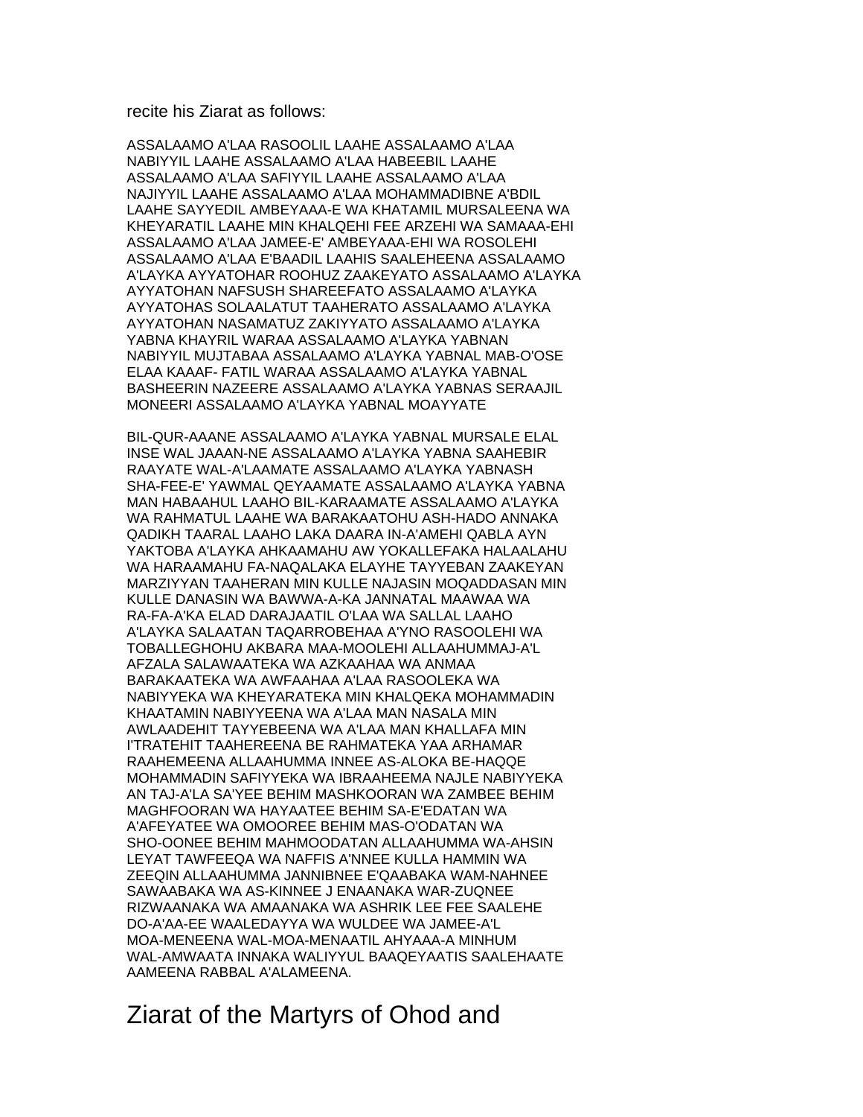#### recite his Ziarat as follows:

ASSALAAMO A'LAA RASOOLIL LAAHE ASSALAAMO A'LAA NABIYYIL LAAHE ASSALAAMO A'LAA HABEEBIL LAAHE ASSALAAMO A'LAA SAFIYYIL LAAHE ASSALAAMO A'LAA NAJIYYIL LAAHE ASSALAAMO A'LAA MOHAMMADIBNE A'BDIL LAAHE SAYYEDIL AMBEYAAA-E WA KHATAMIL MURSALEENA WA KHEYARATIL LAAHE MIN KHALQEHI FEE ARZEHI WA SAMAAA-EHI ASSALAAMO A'LAA JAMEE-E' AMBEYAAA-EHI WA ROSOLEHI ASSALAAMO A'LAA E'BAADIL LAAHIS SAALEHEENA ASSALAAMO A'LAYKA AYYATOHAR ROOHUZ ZAAKEYATO ASSALAAMO A'LAYKA AYYATOHAN NAFSUSH SHAREEFATO ASSALAAMO A'LAYKA AYYATOHAS SOLAALATUT TAAHERATO ASSALAAMO A'LAYKA AYYATOHAN NASAMATUZ ZAKIYYATO ASSALAAMO A'LAYKA YABNA KHAYRIL WARAA ASSALAAMO A'LAYKA YABNAN NABIYYIL MUJTABAA ASSALAAMO A'LAYKA YABNAL MAB-O'OSE ELAA KAAAF- FATIL WARAA ASSALAAMO A'LAYKA YABNAL BASHEERIN NAZEERE ASSALAAMO A'LAYKA YABNAS SERAAJIL MONEERI ASSALAAMO A'LAYKA YABNAL MOAYYATE

BIL-QUR-AAANE ASSALAAMO A'LAYKA YABNAL MURSALE ELAL INSE WAL JAAAN-NE ASSALAAMO A'LAYKA YABNA SAAHEBIR RAAYATE WAL-A'LAAMATE ASSALAAMO A'LAYKA YABNASH SHA-FEE-E' YAWMAL QEYAAMATE ASSALAAMO A'LAYKA YABNA MAN HABAAHUL LAAHO BIL-KARAAMATE ASSALAAMO A'LAYKA WA RAHMATUL LAAHE WA BARAKAATOHU ASH-HADO ANNAKA QADIKH TAARAL LAAHO LAKA DAARA IN-A'AMEHI QABLA AYN YAKTOBA A'LAYKA AHKAAMAHU AW YOKALLEFAKA HALAALAHU WA HARAAMAHU FA-NAQALAKA ELAYHE TAYYEBAN ZAAKEYAN MARZIYYAN TAAHERAN MIN KULLE NAJASIN MOQADDASAN MIN KULLE DANASIN WA BAWWA-A-KA JANNATAL MAAWAA WA RA-FA-A'KA ELAD DARAJAATIL O'LAA WA SALLAL LAAHO A'LAYKA SALAATAN TAQARROBEHAA A'YNO RASOOLEHI WA TOBALLEGHOHU AKBARA MAA-MOOLEHI ALLAAHUMMAJ-A'L AFZALA SALAWAATEKA WA AZKAAHAA WA ANMAA BARAKAATEKA WA AWFAAHAA A'LAA RASOOLEKA WA NABIYYEKA WA KHEYARATEKA MIN KHALQEKA MOHAMMADIN KHAATAMIN NABIYYEENA WA A'LAA MAN NASALA MIN AWLAADEHIT TAYYEBEENA WA A'LAA MAN KHALLAFA MIN I'TRATEHIT TAAHEREENA BE RAHMATEKA YAA ARHAMAR RAAHEMEENA ALLAAHUMMA INNEE AS-ALOKA BE-HAQQE MOHAMMADIN SAFIYYEKA WA IBRAAHEEMA NAJLE NABIYYEKA AN TAJ-A'LA SA'YEE BEHIM MASHKOORAN WA ZAMBEE BEHIM MAGHFOORAN WA HAYAATEE BEHIM SA-E'EDATAN WA A'AFEYATEE WA OMOOREE BEHIM MAS-O'ODATAN WA SHO-OONEE BEHIM MAHMOODATAN ALLAAHUMMA WA-AHSIN LEYAT TAWFEEQA WA NAFFIS A'NNEE KULLA HAMMIN WA ZEEQIN ALLAAHUMMA JANNIBNEE E'QAABAKA WAM-NAHNEE SAWAABAKA WA AS-KINNEE J ENAANAKA WAR-ZUQNEE RIZWAANAKA WA AMAANAKA WA ASHRIK LEE FEE SAALEHE DO-A'AA-EE WAALEDAYYA WA WULDEE WA JAMEE-A'L MOA-MENEENA WAL-MOA-MENAATIL AHYAAA-A MINHUM WAL-AMWAATA INNAKA WALIYYUL BAAQEYAATIS SAALEHAATE AAMEENA RABBAL A'ALAMEENA.

#### Ziarat of the Martyrs of Ohod and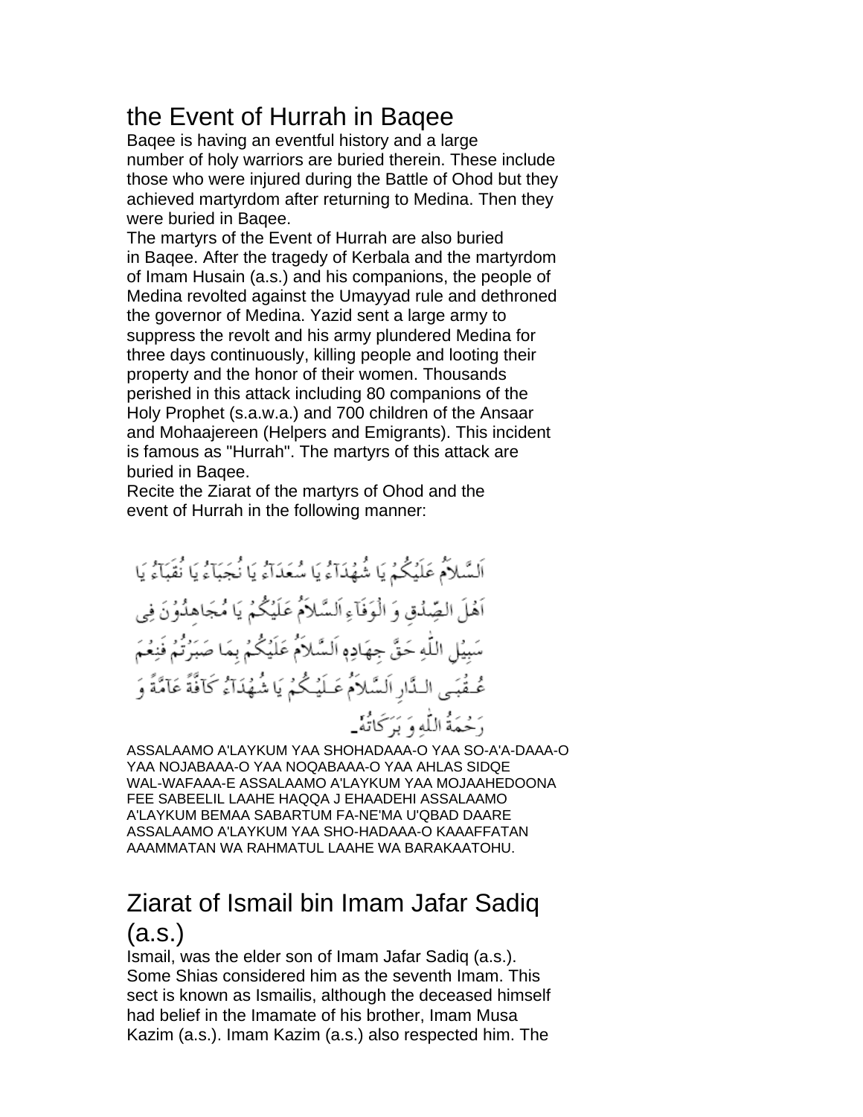## the Event of Hurrah in Baqee

Baqee is having an eventful history and a large number of holy warriors are buried therein. These include those who were injured during the Battle of Ohod but they achieved martyrdom after returning to Medina. Then they were buried in Baqee.

The martyrs of the Event of Hurrah are also buried in Baqee. After the tragedy of Kerbala and the martyrdom of Imam Husain (a.s.) and his companions, the people of Medina revolted against the Umayyad rule and dethroned the governor of Medina. Yazid sent a large army to suppress the revolt and his army plundered Medina for three days continuously, killing people and looting their property and the honor of their women. Thousands perished in this attack including 80 companions of the Holy Prophet (s.a.w.a.) and 700 children of the Ansaar and Mohaajereen (Helpers and Emigrants). This incident is famous as "Hurrah". The martyrs of this attack are buried in Baqee.

Recite the Ziarat of the martyrs of Ohod and the event of Hurrah in the following manner:

ASSALAAMO A'LAYKUM YAA SHOHADAAA-O YAA SO-A'A-DAAA-O YAA NOJABAAA-O YAA NOQABAAA-O YAA AHLAS SIDQE WAL-WAFAAA-E ASSALAAMO A'LAYKUM YAA MOJAAHEDOONA FEE SABEELIL LAAHE HAQQA J EHAADEHI ASSALAAMO A'LAYKUM BEMAA SABARTUM FA-NE'MA U'QBAD DAARE ASSALAAMO A'LAYKUM YAA SHO-HADAAA-O KAAAFFATAN AAAMMATAN WA RAHMATUL LAAHE WA BARAKAATOHU.

## Ziarat of Ismail bin Imam Jafar Sadiq (a.s.)

Ismail, was the elder son of Imam Jafar Sadiq (a.s.). Some Shias considered him as the seventh Imam. This sect is known as Ismailis, although the deceased himself had belief in the Imamate of his brother, Imam Musa Kazim (a.s.). Imam Kazim (a.s.) also respected him. The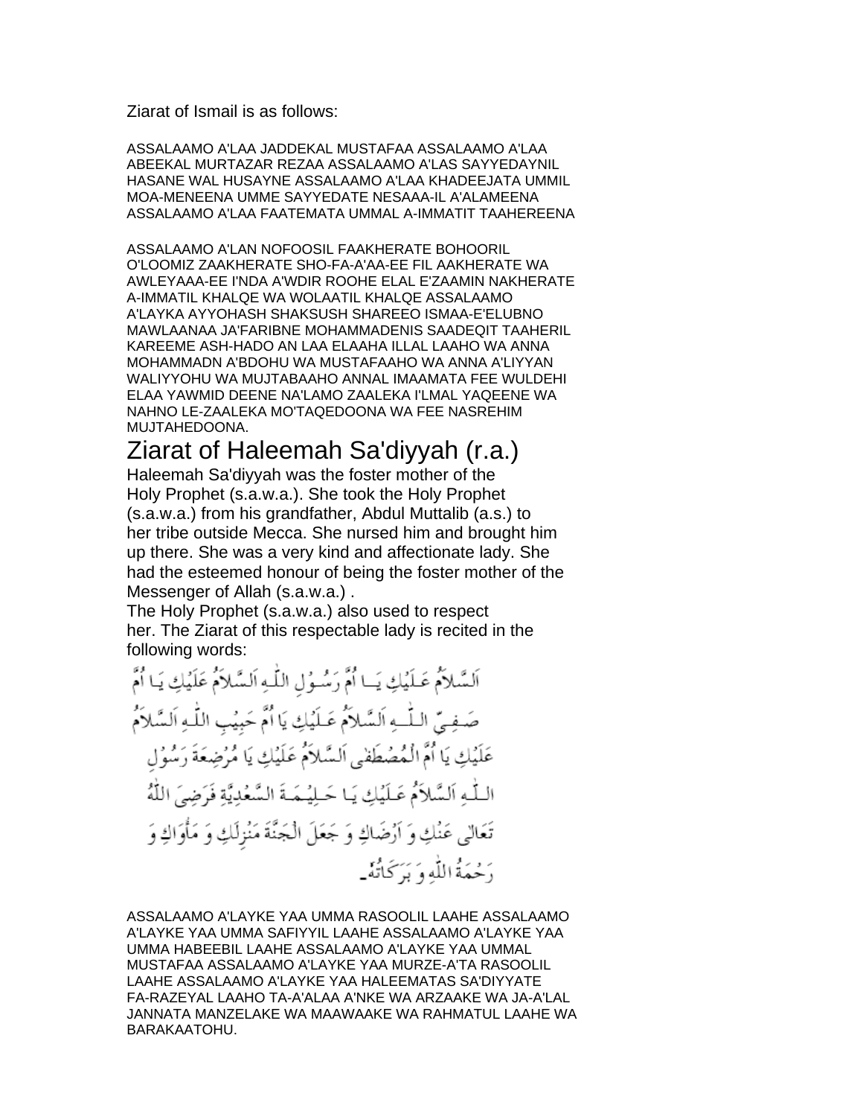Ziarat of Ismail is as follows:

ASSALAAMO A'LAA JADDEKAL MUSTAFAA ASSALAAMO A'LAA ABEEKAL MURTAZAR REZAA ASSALAAMO A'LAS SAYYEDAYNIL HASANE WAL HUSAYNE ASSALAAMO A'LAA KHADEEJATA UMMIL MOA-MENEENA UMME SAYYEDATE NESAAA-IL A'ALAMEENA ASSALAAMO A'LAA FAATEMATA UMMAL A-IMMATIT TAAHEREENA

ASSALAAMO A'LAN NOFOOSIL FAAKHERATE BOHOORIL O'LOOMIZ ZAAKHERATE SHO-FA-A'AA-EE FIL AAKHERATE WA AWLEYAAA-EE I'NDA A'WDIR ROOHE ELAL E'ZAAMIN NAKHERATE A-IMMATIL KHALQE WA WOLAATIL KHALQE ASSALAAMO A'LAYKA AYYOHASH SHAKSUSH SHAREEO ISMAA-E'ELUBNO MAWLAANAA JA'FARIBNE MOHAMMADENIS SAADEQIT TAAHERIL KAREEME ASH-HADO AN LAA ELAAHA ILLAL LAAHO WA ANNA MOHAMMADN A'BDOHU WA MUSTAFAAHO WA ANNA A'LIYYAN WALIYYOHU WA MUJTABAAHO ANNAL IMAAMATA FEE WULDEHI ELAA YAWMID DEENE NA'LAMO ZAALEKA I'LMAL YAQEENE WA NAHNO LE-ZAALEKA MO'TAQEDOONA WA FEE NASREHIM MUJTAHEDOONA.

### Ziarat of Haleemah Sa'diyyah (r.a.)

Haleemah Sa'diyyah was the foster mother of the Holy Prophet (s.a.w.a.). She took the Holy Prophet (s.a.w.a.) from his grandfather, Abdul Muttalib (a.s.) to her tribe outside Mecca. She nursed him and brought him up there. She was a very kind and affectionate lady. She had the esteemed honour of being the foster mother of the Messenger of Allah (s.a.w.a.) .

The Holy Prophet (s.a.w.a.) also used to respect her. The Ziarat of this respectable lady is recited in the following words:

ASSALAAMO A'LAYKE YAA UMMA RASOOLIL LAAHE ASSALAAMO A'LAYKE YAA UMMA SAFIYYIL LAAHE ASSALAAMO A'LAYKE YAA UMMA HABEEBIL LAAHE ASSALAAMO A'LAYKE YAA UMMAL MUSTAFAA ASSALAAMO A'LAYKE YAA MURZE-A'TA RASOOLIL LAAHE ASSALAAMO A'LAYKE YAA HALEEMATAS SA'DIYYATE FA-RAZEYAL LAAHO TA-A'ALAA A'NKE WA ARZAAKE WA JA-A'LAL JANNATA MANZELAKE WA MAAWAAKE WA RAHMATUL LAAHE WA BARAKAATOHU.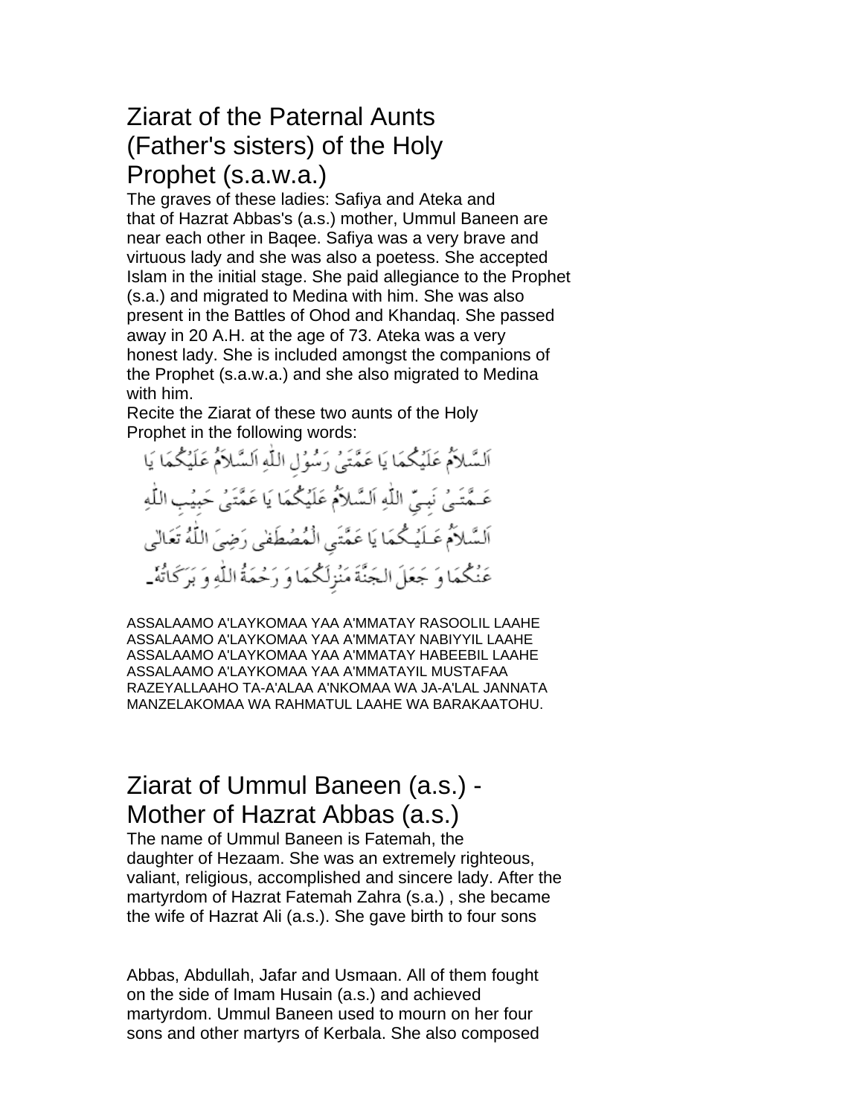### Ziarat of the Paternal Aunts (Father's sisters) of the Holy Prophet (s.a.w.a.)

The graves of these ladies: Safiya and Ateka and that of Hazrat Abbas's (a.s.) mother, Ummul Baneen are near each other in Baqee. Safiya was a very brave and virtuous lady and she was also a poetess. She accepted Islam in the initial stage. She paid allegiance to the Prophet (s.a.) and migrated to Medina with him. She was also present in the Battles of Ohod and Khandaq. She passed away in 20 A.H. at the age of 73. Ateka was a very honest lady. She is included amongst the companions of the Prophet (s.a.w.a.) and she also migrated to Medina with him.

Recite the Ziarat of these two aunts of the Holy Prophet in the following words:

اَلسَّلاَمُ عَلَيْكُمَا يَا عَمَّتَيْ رَسُوُلِ اللَّهِ اَلسَّلاَمُ عَلَيْكُمَا يَا عَـمَّتَـىٰ نَبِـىِّ اللَّهِ اَلسَّلاَمُ عَلَيْكُمَا يَا عَمَّتَىٰ حَبِيْبِ اللَّهِ اَلسَّلاَمُ عَـلَيْـكُمَا يَا عَمَّتَى الْمُصُطَفىٰ رَضِيَ اللَّهُ تَعَالَىٰ عَنْكُمَا وَ جَعَلَ الجَنَّةَ مَنْزِلَكُمَا وَ رَحْمَةُ اللَّهِ وَ بَرَكَاتُهُ-

ASSALAAMO A'LAYKOMAA YAA A'MMATAY RASOOLIL LAAHE ASSALAAMO A'LAYKOMAA YAA A'MMATAY NABIYYIL LAAHE ASSALAAMO A'LAYKOMAA YAA A'MMATAY HABEEBIL LAAHE ASSALAAMO A'LAYKOMAA YAA A'MMATAYIL MUSTAFAA RAZEYALLAAHO TA-A'ALAA A'NKOMAA WA JA-A'LAL JANNATA MANZELAKOMAA WA RAHMATUL LAAHE WA BARAKAATOHU.

## Ziarat of Ummul Baneen (a.s.) - Mother of Hazrat Abbas (a.s.)

The name of Ummul Baneen is Fatemah, the daughter of Hezaam. She was an extremely righteous, valiant, religious, accomplished and sincere lady. After the martyrdom of Hazrat Fatemah Zahra (s.a.) , she became the wife of Hazrat Ali (a.s.). She gave birth to four sons

Abbas, Abdullah, Jafar and Usmaan. All of them fought on the side of Imam Husain (a.s.) and achieved martyrdom. Ummul Baneen used to mourn on her four sons and other martyrs of Kerbala. She also composed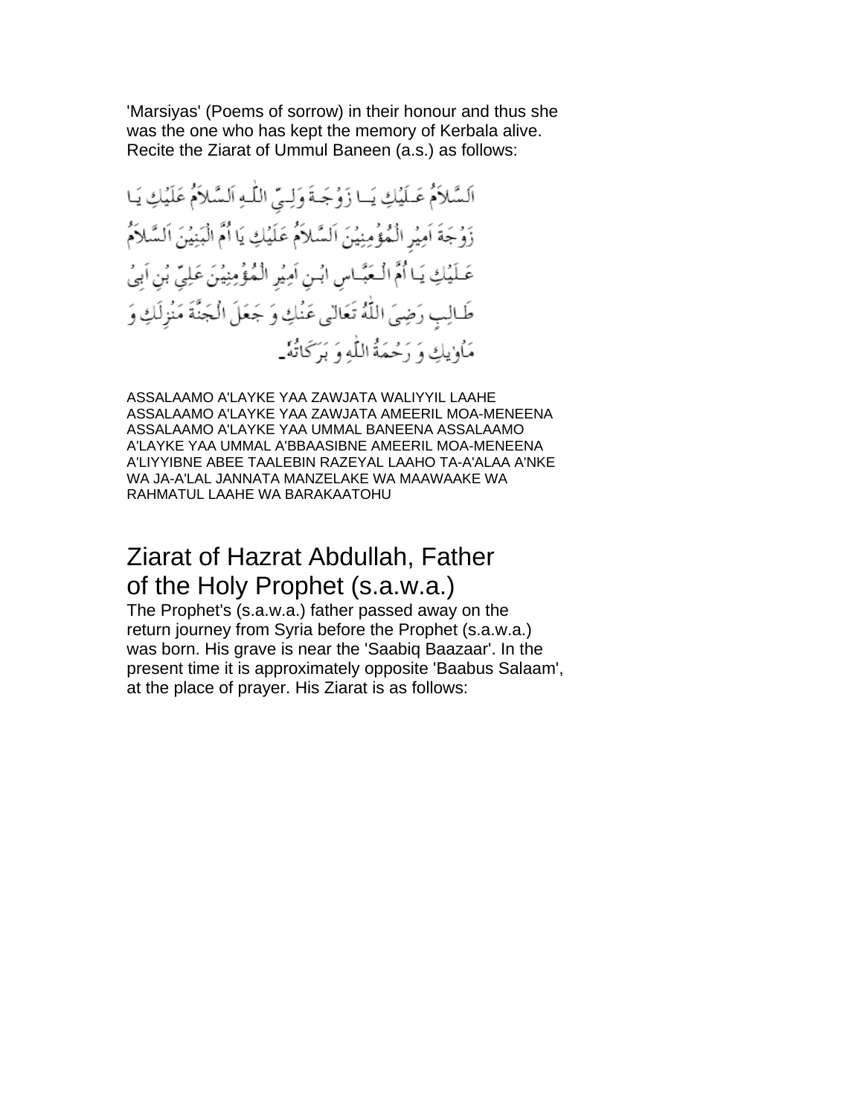'Marsiyas' (Poems of sorrow) in their honour and thus she was the one who has kept the memory of Kerbala alive. Recite the Ziarat of Ummul Baneen (a.s.) as follows:

ASSALAAMO A'LAYKE YAA ZAWJATA WALIYYIL LAAHE ASSALAAMO A'LAYKE YAA ZAWJATA AMEERIL MOA-MENEENA ASSALAAMO A'LAYKE YAA UMMAL BANEENA ASSALAAMO A'LAYKE YAA UMMAL A'BBAASIBNE AMEERIL MOA-MENEENA A'LIYYIBNE ABEE TAALEBIN RAZEYAL LAAHO TA-A'ALAA A'NKE WA JA-A'LAL JANNATA MANZELAKE WA MAAWAAKE WA RAHMATUL LAAHE WA BARAKAATOHU

#### Ziarat of Hazrat Abdullah, Father of the Holy Prophet (s.a.w.a.)

The Prophet's (s.a.w.a.) father passed away on the return journey from Syria before the Prophet (s.a.w.a.) was born. His grave is near the 'Saabiq Baazaar'. In the present time it is approximately opposite 'Baabus Salaam', at the place of prayer. His Ziarat is as follows: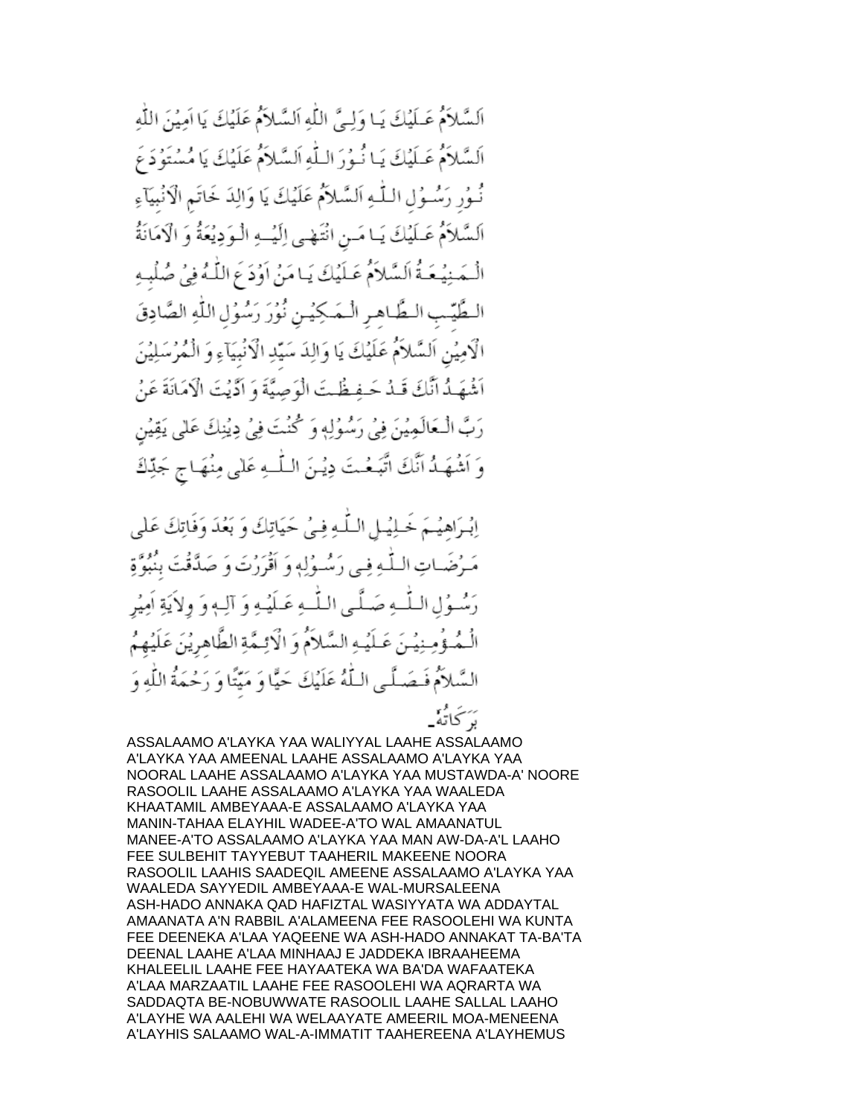السَّلاَمُ عَـلَيْكَ يَـا وَلِـيَّ اللَّهِ اَلسَّلاَمُ عَلَيْكَ يَا اَمِيْنَ اللَّهِ السَّلاَمُ عَـلَيْكَ يَـا نُـوُرَ الـلَّهِ اَلسَّلاَمُ عَلَيْكَ يَا مُسْتَوُدَعَ نُـوُر رَسُـوُل الـلّـهِ اَلسَّلاَمُ عَلَيْكَ يَا وَالِدَ خَاتَمِ الْأَنْبِيَآءِ عَـلَيْكَ يَـا مَـن انْتَهْـي اِلَيْــهِ الْـوَدِيْعَةُ وَ الْاَمَانَةُ السلام بِلاَمَ عَبِلَيْكَ يَبَامَنُ أَوُدَ عَ اللَّهُ فِي صُلْبِهِ الطَّيِّب الطَّاهر الْمَكِيْنِ نُوْرَ رَسُوُلِ اللَّهِ الصَّادِقَ الْامِيْنِ اَلسَّلاَمَ عَلَيْكَ يَا وَالِدَ سَيِّدِ الْاَنْبِيَاءِ وَ الْمُرْسَلِيْنَ أَشُهَـٰدُ أَنَّكَ قَـٰدُ حَـفـَظَـٰتَ الْوَصِيَّةَ وَ أَدَّيْتَ الْإِمَانَةَ عَنْ رَبَّ الْبَعَالَمِيْنَ فِي رَسُولِهِ وَ كُنْتَ فِي دِيْنِكَ عَلَى يَقِيْنِ اتَّبَعْتَ دِيْنَ اللَّـهِ عَلٰى مِنْهَاجِ جَدِّكَ وَ أَنشُهَـدُ أَنَّكَ

يا السُّلَّه في حَيَاتِكَ وَ بَعُدَ وَفَاتِكَ عَلَى اللَّـٰهِ فِي رَسُّـٰوُلِهِ وَ أَقْرَرْتَ وَ صَدَّقَتَ بِنَبُوَّةٍ 4 عَسْلَيْـه وَ آلـهِ وَ ولاَيَةِ امِيْر ﻪ ﺻَﻠَﺮٍ اﻟﻠّ ـهِ السَّلاَمَ وَ الْإِئِمَّةِ الطَّاهِرِيْنَ عَلَيْهِمُ السَّلاَمُ فَـصَـلَّـى الـلَّهُ عَلَيْكَ حَيًّا وَ مَيِّتًا وَ رَحْمَةُ اللَّهِ وَ بَرَكَاتَهُ<mark>۔</mark>

ASSALAAMO A'LAYKA YAA WALIYYAL LAAHE ASSALAAMO A'LAYKA YAA AMEENAL LAAHE ASSALAAMO A'LAYKA YAA NOORAL LAAHE ASSALAAMO A'LAYKA YAA MUSTAWDA-A' NOORE RASOOLIL LAAHE ASSALAAMO A'LAYKA YAA WAALEDA KHAATAMIL AMBEYAAA-E ASSALAAMO A'LAYKA YAA MANIN-TAHAA ELAYHIL WADEE-A'TO WAL AMAANATUL MANEE-A'TO ASSALAAMO A'LAYKA YAA MAN AW-DA-A'L LAAHO FEE SULBEHIT TAYYEBUT TAAHERIL MAKEENE NOORA RASOOLIL LAAHIS SAADEQIL AMEENE ASSALAAMO A'LAYKA YAA WAALEDA SAYYEDIL AMBEYAAA-E WAL-MURSALEENA ASH-HADO ANNAKA QAD HAFIZTAL WASIYYATA WA ADDAYTAL AMAANATA A'N RABBIL A'ALAMEENA FEE RASOOLEHI WA KUNTA FEE DEENEKA A'LAA YAQEENE WA ASH-HADO ANNAKAT TA-BA'TA DEENAL LAAHE A'LAA MINHAAJ E JADDEKA IBRAAHEEMA KHALEELIL LAAHE FEE HAYAATEKA WA BA'DA WAFAATEKA A'LAA MARZAATIL LAAHE FEE RASOOLEHI WA AQRARTA WA SADDAQTA BE-NOBUWWATE RASOOLIL LAAHE SALLAL LAAHO A'LAYHE WA AALEHI WA WELAAYATE AMEERIL MOA-MENEENA A'LAYHIS SALAAMO WAL-A-IMMATIT TAAHEREENA A'LAYHEMUS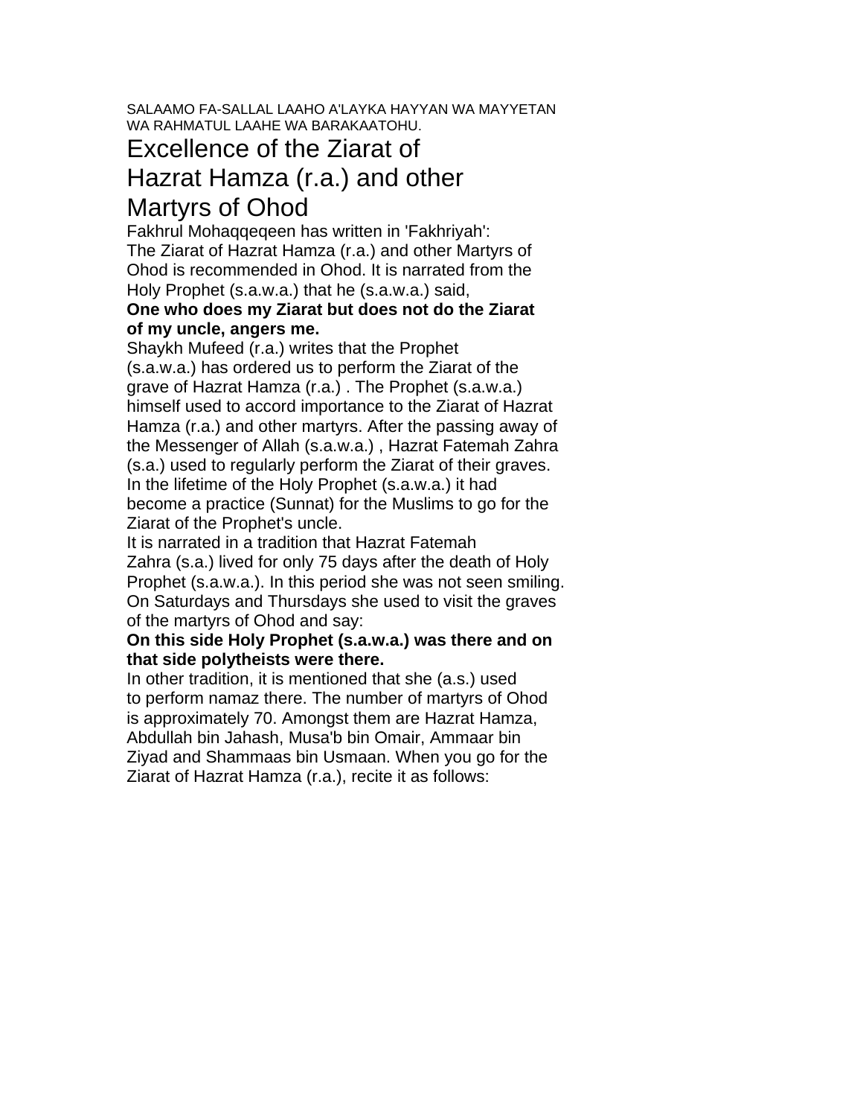#### SALAAMO FA-SALLAL LAAHO A'LAYKA HAYYAN WA MAYYETAN WA RAHMATUL LAAHE WA BARAKAATOHU.

# Excellence of the Ziarat of

#### Hazrat Hamza (r.a.) and other Martyrs of Ohod

Fakhrul Mohaqqeqeen has written in 'Fakhriyah': The Ziarat of Hazrat Hamza (r.a.) and other Martyrs of Ohod is recommended in Ohod. It is narrated from the Holy Prophet (s.a.w.a.) that he (s.a.w.a.) said,

#### **One who does my Ziarat but does not do the Ziarat of my uncle, angers me.**

Shaykh Mufeed (r.a.) writes that the Prophet (s.a.w.a.) has ordered us to perform the Ziarat of the grave of Hazrat Hamza (r.a.) . The Prophet (s.a.w.a.) himself used to accord importance to the Ziarat of Hazrat Hamza (r.a.) and other martyrs. After the passing away of the Messenger of Allah (s.a.w.a.) , Hazrat Fatemah Zahra (s.a.) used to regularly perform the Ziarat of their graves. In the lifetime of the Holy Prophet (s.a.w.a.) it had become a practice (Sunnat) for the Muslims to go for the Ziarat of the Prophet's uncle.

It is narrated in a tradition that Hazrat Fatemah Zahra (s.a.) lived for only 75 days after the death of Holy Prophet (s.a.w.a.). In this period she was not seen smiling. On Saturdays and Thursdays she used to visit the graves of the martyrs of Ohod and say:

#### **On this side Holy Prophet (s.a.w.a.) was there and on that side polytheists were there.**

In other tradition, it is mentioned that she (a.s.) used to perform namaz there. The number of martyrs of Ohod is approximately 70. Amongst them are Hazrat Hamza, Abdullah bin Jahash, Musa'b bin Omair, Ammaar bin Ziyad and Shammaas bin Usmaan. When you go for the Ziarat of Hazrat Hamza (r.a.), recite it as follows: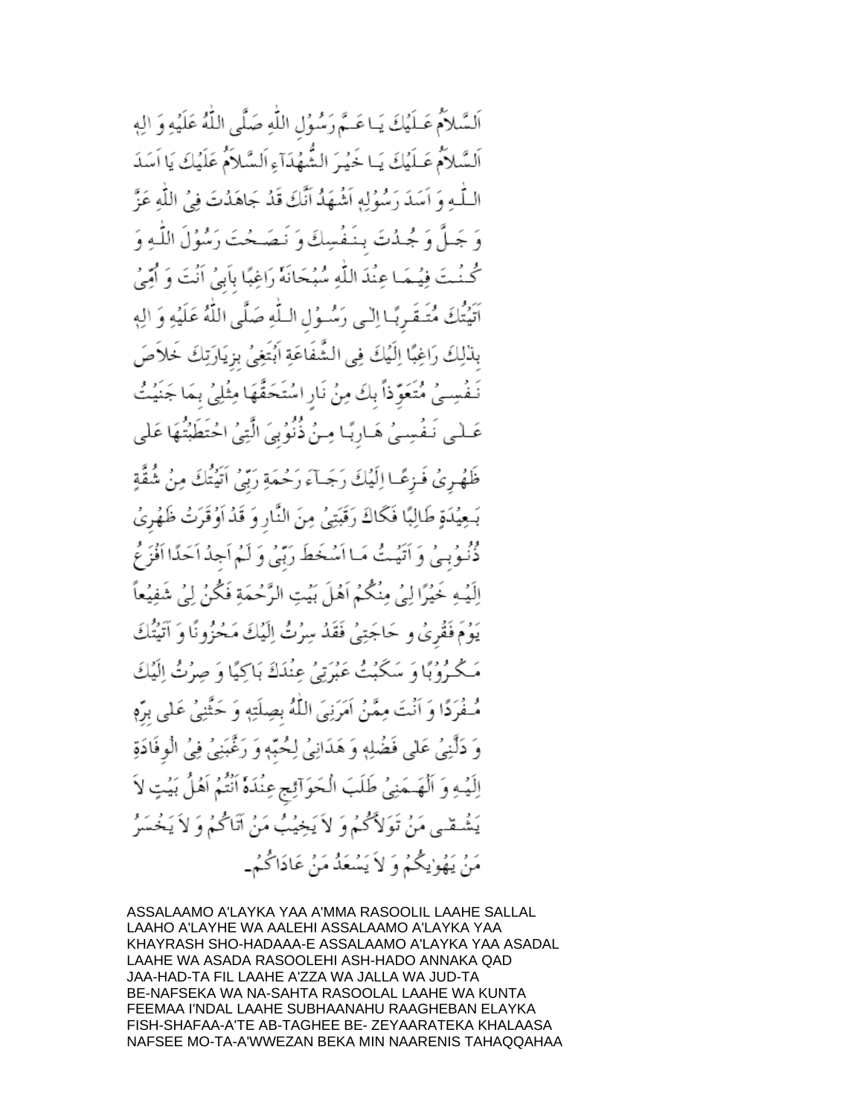اَلسَّلاَمُ عَـلَيْكَ يَـاعَـمَّ رَسُوُلِ اللَّهِ صَلَّى اللَّهُ عَلَيْهِ وَ الِهِ اَلسَّلاَمُ عَـلَيْكَ يَـا خَيْرَ الشُّهُدَآءِ اَلسَّلاَمُ عَلَيْكَ يَا اَسَدَ اللَّــٰهِ وَ اَسَدَ رَسُوُلِهِ اَشْهَدُ اَنَّكَ قَدْ جَاهَدُتَ فِيُ اللَّهِ عَزَّ وَ جَـلَّ وَ جُـدُتَ بِنَـفُسِكَ وَ نَـصَـحْتَ رَسُوُلَ اللَّـهِ وَ كُنْتَ فِهُمَا عِنْدَ اللَّهِ سُبُحَانَهُ رَاغِبًا بِأَبِيُ أَنْتَ وَ أُمِّيُ اَتَيْتُكَ مُتَـقَـرِبًـا اِلْـي رَسُـوُلِ الـلَّهِ صَلَّى اللَّهُ عَلَيْهِ وَ الِهِ بِذْلِكَ رَاغِبًا إِلَيْكَ فِي الشَّفَاعَةِ اَبُتَغِيُّ بِزِيَارَتِكَ خَلاَصَ نَفْسِيُ مُتَعَوِّذاً بِكَ مِنْ نَارِ اسْتَحَقَّهَا مِثْلِيُ بِمَا جَنَيْتُ عَـلْمِي نَـفُسِـيُ هَـارِبًـا مِـنُ ذُنُوُبِيَ الَّتِيُ احْتَطَبْتُٰهَا عَلَى ظَهُرِيُ فَـرْعًـا إِلَيْكَ رَجَـآءَ رَحْمَةِ رَبِّيُ اَتَّيْتُكَ مِنُ شُقَّةٍ بَعِيْدَةٍ طَالِبًا فَكَاكَ رَقَبَتِيْ مِنَ النَّارِ وَ قَدْ اَوُقَرَتْ ظَهْرِيُ دُّنُوبِيُّ وَ أَتَيُتُ مَـا أَسُخَطَ رَبِّيُ وَ لَـٰمٍ أَجِدُ أَحَدًّا أَفْزَعُ اِلَيْهِ خَيْرًا لِيُ مِنْكُمُ اَهْلَ بَيْتِ الرَّحْمَةِ فَكُنْ لِيُ شَفِيْعاً يَوُمَ فَقْرَىٰ و حَاجَتِنِي فَقَدْ سِرُتُ اِلَيْكَ مَحْزُونًا وَ آتَيْتُكَ مَكْرُوْبًا وَ سَكَبْتُ عَبْرَتِيْ عِنْدَكَ بَاكِيًا وَ صِرْتُ إِلَيْكَ مُّـفُرَدًا وَ أَنْتَ مِمَّنُ اَمَرَنِيَ اللَّهُ بِصِلَتِهٖ وَ حَثَّنِيُ عَلَى بِرِّمِ وَ دَلَّنِي عَلَى فَضْلِهٖ وَ هَدَانِيٌ لِحُبَّهٖ وَ رَغَّبَنِيٌ فِي الْوفَادَةِ اِلَيْهِ وَ اَلْهَـمَنِيُ طَلَبَ الْحَوَالِئِجِ عِنْدَةً اَنْتُمْ اَهْلُ بَيْتٍ لاَ يَشْقَى مَنْ تَوَلاَّكُمْ وَ لاَ يَخِيْبُ مَنْ آتَاكُمْ وَ لاَ يَخْسَرُ مَنْ يَهُوْيِكُمُ وَ لاَ يَسْعَدُ مَنْ عَادَاكُمْ\_

ASSALAAMO A'LAYKA YAA A'MMA RASOOLIL LAAHE SALLAL LAAHO A'LAYHE WA AALEHI ASSALAAMO A'LAYKA YAA KHAYRASH SHO-HADAAA-E ASSALAAMO A'LAYKA YAA ASADAL LAAHE WA ASADA RASOOLEHI ASH-HADO ANNAKA QAD JAA-HAD-TA FIL LAAHE A'ZZA WA JALLA WA JUD-TA BE-NAFSEKA WA NA-SAHTA RASOOLAL LAAHE WA KUNTA FEEMAA I'NDAL LAAHE SUBHAANAHU RAAGHEBAN ELAYKA FISH-SHAFAA-A'TE AB-TAGHEE BE- ZEYAARATEKA KHALAASA NAFSEE MO-TA-A'WWEZAN BEKA MIN NAARENIS TAHAQQAHAA